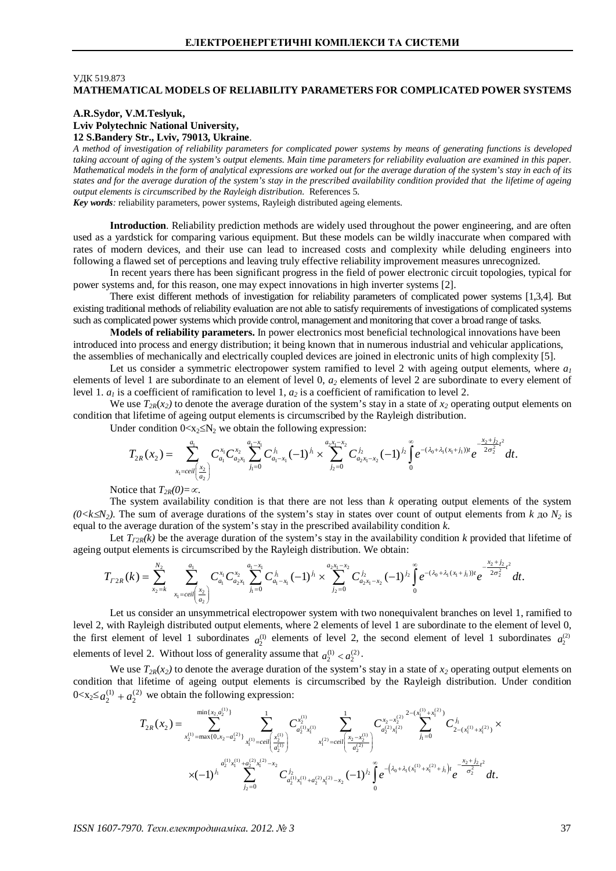# **УЛК 519.873 MATHEMATICAL MODELS OF RELIABILITY PARAMETERS FOR COMPLICATED POWER SYSTEMS**

# **A.R.Sydor, V.M.Teslyuk, Lviv Polytechnic National University, 12 S.Bandery Str., Lviv, 79013, Ukraine**.

*A method of investigation of reliability parameters for complicated power systems by means of generating functions is developed taking account of aging of the system's output elements. Main time parameters for reliability evaluation are examined in this paper. Mathematical models in the form of analytical expressions are worked out for the average duration of the system's stay in each of its states and for the average duration of the system's stay in the prescribed availability condition provided that the lifetime of ageing output elements is circumscribed by the Rayleigh distribution.* References 5.

*Key words:* reliability parameters, power systems, Rayleigh distributed ageing elements.

**Introduction**. Reliability prediction methods are widely used throughout the power engineering, and are often used as a yardstick for comparing various equipment. But these models can be wildly inaccurate when compared with rates of modern devices, and their use can lead to increased costs and complexity while deluding engineers into following a flawed set of perceptions and leaving truly effective reliability improvement measures unrecognized.

In recent years there has been significant progress in the field of power electronic circuit topologies, typical for power systems and, for this reason, one may expect innovations in high inverter systems [2].

There exist different methods of investigation for reliability parameters of complicated power systems [1,3,4]. But existing traditional methods of reliability evaluation are not able to satisfy requirements of investigations of complicated systems such as complicated power systems which provide control, management and monitoring that cover a broad range of tasks.

**Models of reliability parameters.** In power electronics most beneficial technological innovations have been introduced into process and energy distribution; it being known that in numerous industrial and vehicular applications, the assemblies of mechanically and electrically coupled devices are joined in electronic units of high complexity [5].

Let us consider a symmetric electropower system ramified to level 2 with ageing output elements, where  $a<sub>l</sub>$ elements of level 1 are subordinate to an element of level 0, *a2* elements of level 2 are subordinate to every element of level 1.  $a<sub>l</sub>$  is a coefficient of ramification to level 1,  $a<sub>2</sub>$  is a coefficient of ramification to level 2.

We use  $T_{2R}(x_2)$  to denote the average duration of the system's stay in a state of  $x_2$  operating output elements on condition that lifetime of ageing output elements is circumscribed by the Rayleigh distribution.

Under condition  $0 \lt x_2 \le N_2$  we obtain the following expression:

$$
T_{2R}(x_2) = \sum_{x_1 = cell\left(\frac{x_2}{a_2}\right)}^{a_1} C_{a_1}^{x_1} C_{a_2x_1}^{x_2} \sum_{j_1=0}^{a_1-x_1} C_{a_1-x_1}^{j_1} (-1)^{j_1} \times \sum_{j_2=0}^{a_2x_1-x_2} C_{a_2x_1-x_2}^{j_2} (-1)^{j_2} \int_0^{\infty} e^{-(\lambda_0 + \lambda_1(x_1 + j_1))t} e^{\frac{-x_2+j_2}{2\sigma_2^2}t^2} dt.
$$

Notice that  $T_{2R}(0) = \infty$ .

The system availability condition is that there are not less than *k* operating output elements of the system  $(0 \lt k \le N_2)$ . The sum of average durations of the system's stay in states over count of output elements from *k*  $\pi_0$  *N*<sub>2</sub> is equal to the average duration of the system's stay in the prescribed availability condition *k*.

Let  $T_{I2R}(k)$  be the average duration of the system's stay in the availability condition k provided that lifetime of ageing output elements is circumscribed by the Rayleigh distribution. We obtain:

$$
T_{I2R}(k) = \sum_{x_2=k}^{N_2} \sum_{x_1=ceil\left(\frac{x_2}{a_2}\right)}^{a_1} C_{a_1}^{x_1} C_{a_2x_1}^{x_2} \sum_{j_1=0}^{a_1-x_1} C_{a_1-x_1}^{j_1} (-1)^{j_1} \times \sum_{j_2=0}^{a_2x_1-x_2} C_{a_2x_1-x_2}^{j_2} (-1)^{j_2} \int_0^{\infty} e^{-(\lambda_0+\lambda_1(x_1+j_1))t} e^{-\frac{x_2+j_2}{2\sigma_2^2}t^2} dt.
$$

Let us consider an unsymmetrical electropower system with two nonequivalent branches on level 1, ramified to level 2, with Rayleigh distributed output elements, where 2 elements of level 1 are subordinate to the element of level 0, the first element of level 1 subordinates  $a_2^{(1)}$  elements of level 2, the second element of level 1 subordinates  $a_2^{(2)}$ elements of level 2. Without loss of generality assume that  $a_2^{(1)} < a_2^{(2)}$ .

We use  $T_{2R}(x_2)$  to denote the average duration of the system's stay in a state of  $x_2$  operating output elements on condition that lifetime of ageing output elements is circumscribed by the Rayleigh distribution. Under condition  $0 \le x_2 \le a_2^{(1)} + a_2^{(2)}$  we obtain the following expression:

$$
T_{2R}(x_2) = \sum_{x_2^{(1)}=\max\{0,x_2-a_2^{(2)}\}}^{\min\{x_2,a_2^{(1)}\}} \sum_{x_1^{(1)}=ceil\left(\frac{x_2^{(1)}}{a_2^{(1)}}\right)}^1 C_{a_2^{(1)}x_1^{(1)}}^{x_2^{(1)}} \sum_{x_1^{(2)}=ceil\left(\frac{x_2-x_2^{(1)}}{a_2^{(2)}}\right)}^1 C_{a_2^{(2)}x_1^{(2)}}^{x_2^{(2)}x_1^{(2)}} \sum_{j_1=0}^{z-(x_1^{(1)}+x_1^{(2)})}^1 C_{2-(x_1^{(1)}+x_1^{(2)})}^{j_1} \times \\ \times (-1)^{j_1} \sum_{j_2=0}^{a_2^{(1)}x_1^{(1)}+a_2^{(2)}x_1^{(2)}+x_2^{(2)}x_1^{(2)}-x_2}^1 (-1)^{j_2} \int_0^{\infty} e^{-\left(\lambda_0+\lambda_1(x_1^{(1)}+x_1^{(2)}+j_1\right)t} e^{\frac{-x_2+j_2}{\sigma_2^2}t^2} dt.
$$